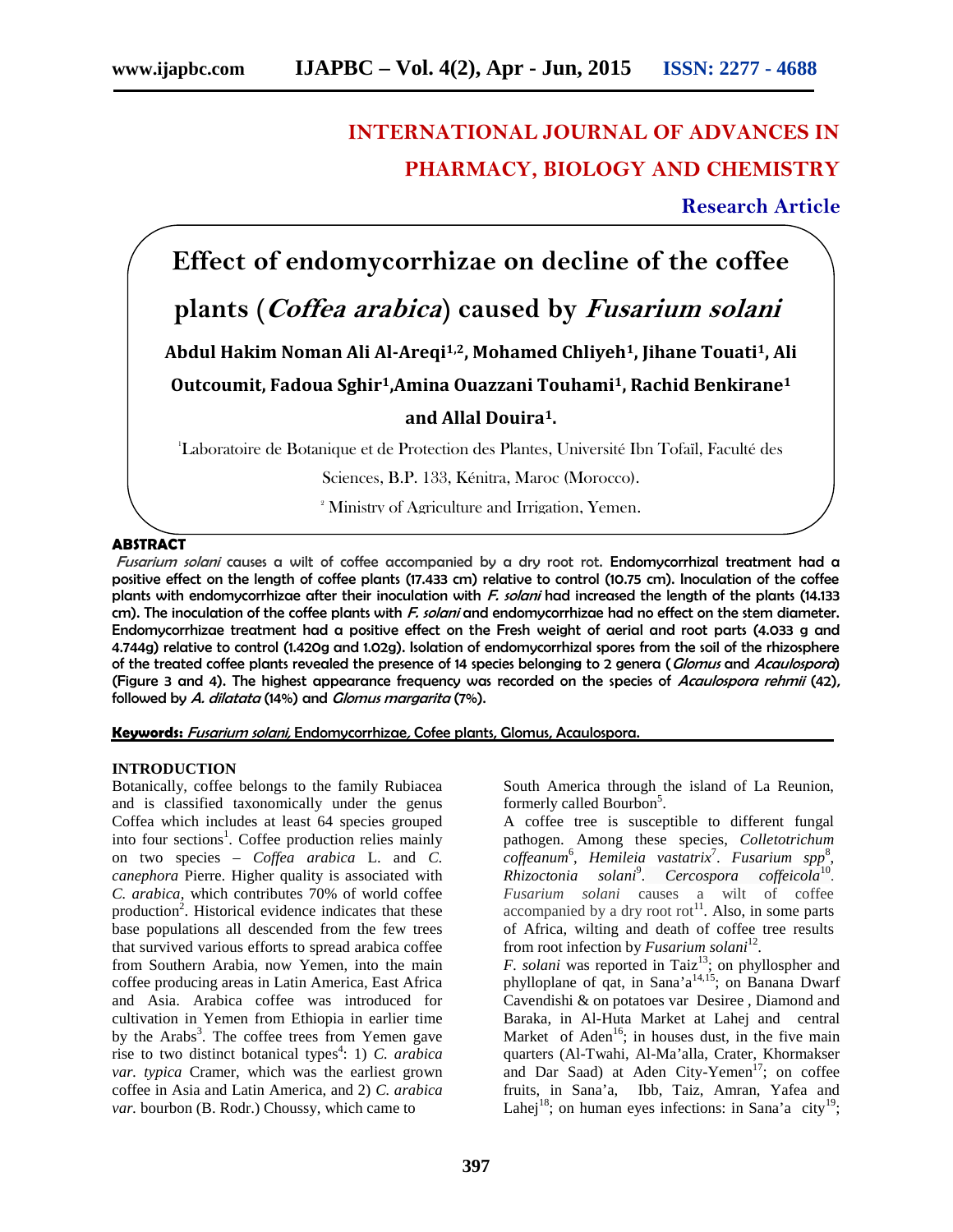# **INTERNATIONAL JOURNAL OF ADVANCES IN PHARMACY, BIOLOGY AND CHEMISTRY**

## **Research Article**

**Effect of endomycorrhizae on decline of the coffee**

# **plants (***Coffea arabica***) caused by** *Fusarium solani*

**Abdul Hakim Noman Ali Al-Areqi1,2, Mohamed Chliyeh1, Jihane Touati1, Ali**

**Outcoumit, Fadoua Sghir1,Amina Ouazzani Touhami1, Rachid Benkirane<sup>1</sup>**

### **and Allal Douira1.**

<sup>1</sup>Laboratoire de Botanique et de Protection des Plantes, Université Ibn Tofaïl, Faculté des

Sciences, B.P. 133, Kénitra, Maroc (Morocco).

<sup>2</sup> Ministry of Agriculture and Irrigation, Yemen.

#### **ABSTRACT**

*Fusarium solani* causes a wilt of coffee accompanied by a dry root rot. Endomycorrhizal treatment had a positive effect on the length of coffee plants (17.433 cm) relative to control (10.75 cm). Inoculation of the coffee plants with endomycorrhizae after their inoculation with *F. solani* had increased the length of the plants (14.133 cm). The inoculation of the coffee plants with *F. solani* and endomycorrhizae had no effect on the stem diameter. Endomycorrhizae treatment had a positive effect on the Fresh weight of aerial and root parts (4.033 g and 4.744g) relative to control (1.420g and 1.02g). Isolation of endomycorrhizal spores from the soil of the rhizosphere of the treated coffee plants revealed the presence of 14 species belonging to 2 genera (*Glomus* and *Acaulospora*) (Figure 3 and 4). The highest appearance frequency was recorded on the species of *Acaulospora rehmii* (42), followed by *A. dilatata* (14%) and *Glomus margarita* (7%).

**Keywords:** *Fusarium solani,* Endomycorrhizae*,* Cofee plants, Glomus, Acaulospora.

#### **INTRODUCTION**

Botanically, coffee belongs to the family Rubiacea and is classified taxonomically under the genus Coffea which includes at least 64 species grouped into four sections<sup>1</sup>. Coffee production relies mainly on two species – *Coffea arabica* L. and *C. canephora* Pierre. Higher quality is associated with *C. arabica*, which contributes 70% of world coffee production<sup>2</sup>. Historical evidence indicates that these base populations all descended from the few trees that survived various efforts to spread arabica coffee from Southern Arabia, now Yemen, into the main coffee producing areas in Latin America, East Africa and Asia. Arabica coffee was introduced for cultivation in Yemen from Ethiopia in earlier time by the Arabs<sup>3</sup>. The coffee trees from Yemen gave rise to two distinct botanical types 4 : 1) *C. arabica var. typica* Cramer, which was the earliest grown coffee in Asia and Latin America, and 2) *C. arabica var.* bourbon (B. Rodr.) Choussy, which came to

South America through the island of La Reunion, formerly called Bourbon<sup>5</sup>.

A coffee tree is susceptible to different fungal pathogen. Among these species, *Colletotrichum coffeanum*<sup>6</sup> , *Hemileia vastatrix*<sup>7</sup> . *Fusarium spp* 8 , *Rhizoctonia solani*<sup>9</sup> . *Cercospora coffeicola*<sup>10</sup> . *Fusarium solani* causes a wilt of coffee accompanied by a dry root rot<sup>11</sup>. Also, in some parts of Africa, wilting and death of coffee tree results from root infection by *Fusarium solani*<sup>12</sup>. .

*F. solani* was reported in Taiz<sup>13</sup>; on phyllospher and phylloplane of qat, in Sana'a 14,15; on Banana Dwarf Cavendishi & on potatoes var Desiree , Diamond and Baraka, in Al-Huta Market at Lahej and central Market of Aden<sup>16</sup>; in houses dust, in the five main quarters (Al-Twahi, Al-Ma'alla, Crater, Khormakser and Dar Saad) at Aden City-Yemen<sup>17</sup>; on coffee fruits, in Sana'a, Ibb, Taiz, Amran, Yafea and Lahej<sup>18</sup>; on human eyes infections: in Sana'a city<sup>19</sup>;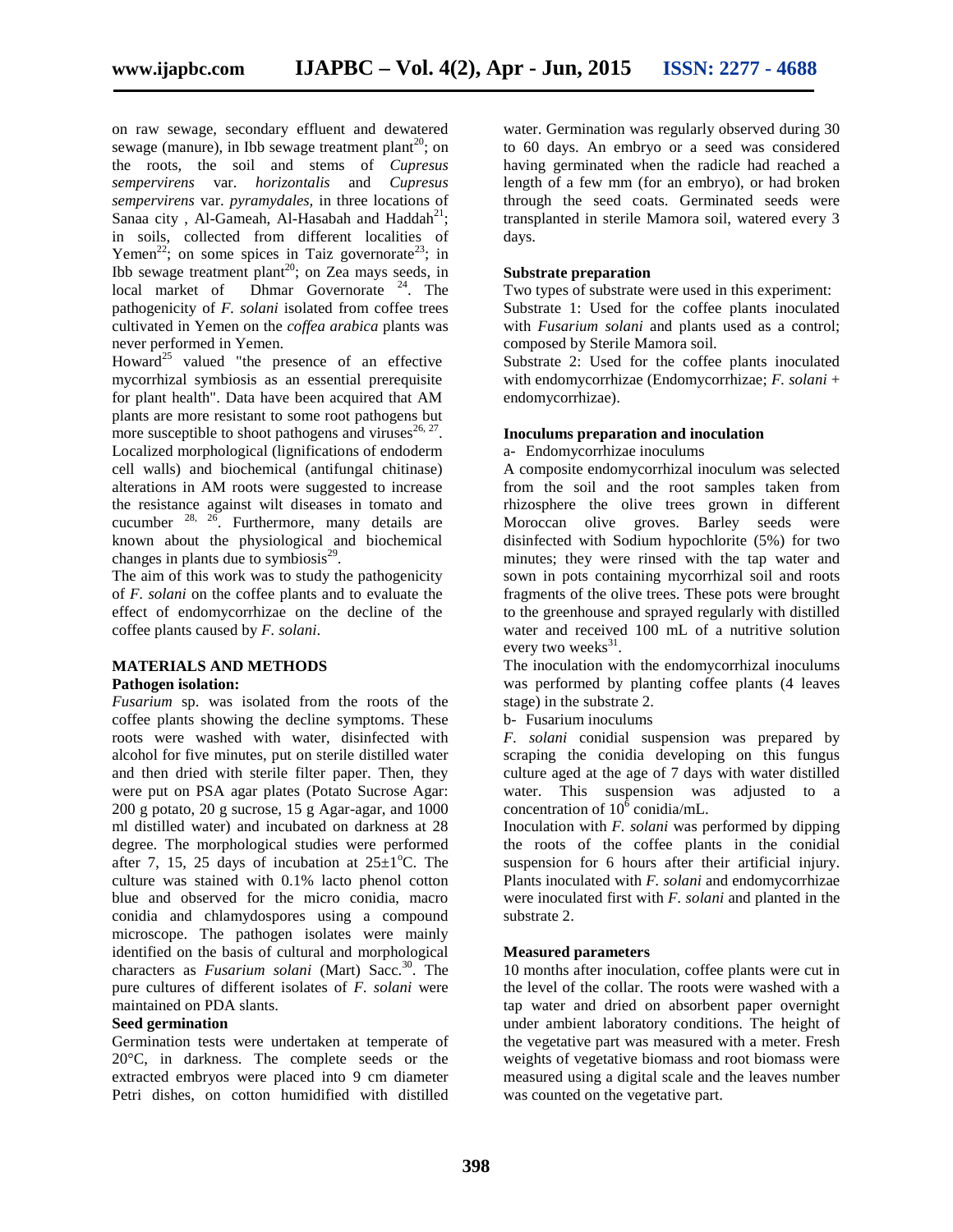on raw sewage, secondary effluent and dewatered sewage (manure), in Ibb sewage treatment plant<sup>20</sup>; on the roots, the soil and stems of *Cupresus sempervirens* var. *horizontalis* and *Cupresus sempervirens* var. *pyramydales,* in three locations of Sanaa city, Al-Gameah, Al-Hasabah and Haddah<sup>21</sup>; in soils, collected from different localities of Yemen<sup>22</sup>; on some spices in Taiz governorate<sup>23</sup>; in Ibb sewage treatment plant<sup>20</sup>; on Zea mays seeds, in local market of Dhmar Governorate<sup>24</sup>. The pathogenicity of *F. solani* isolated from coffee trees cultivated in Yemen on the *coffea arabica* plants was never performed in Yemen.

Howard<sup>25</sup> valued "the presence of an effective mycorrhizal symbiosis as an essential prerequisite for plant health". Data have been acquired that AM plants are more resistant to some root pathogens but more susceptible to shoot pathogens and viruses $^{26, 27}$ . Localized morphological (lignifications of endoderm cell walls) and biochemical (antifungal chitinase) alterations in AM roots were suggested to increase the resistance against wilt diseases in tomato and cucumber  $28$ ,  $26$ . Furthermore, many details are known about the physiological and biochemical changes in plants due to symbiosis $^{29}$ .

The aim of this work was to study the pathogenicity of *F. solani* on the coffee plants and to evaluate the effect of endomycorrhizae on the decline of the coffee plants caused by *F. solani*.

#### **MATERIALS AND METHODS**

#### **Pathogen isolation:**

*Fusarium* sp. was isolated from the roots of the coffee plants showing the decline symptoms. These roots were washed with water, disinfected with alcohol for five minutes, put on sterile distilled water and then dried with sterile filter paper. Then, they were put on PSA agar plates (Potato Sucrose Agar: 200 g potato, 20 g sucrose, 15 g Agar-agar, and 1000 ml distilled water) and incubated on darkness at 28 degree. The morphological studies were performed after 7, 15, 25 days of incubation at  $25\pm1^{\circ}$ C. The culture was stained with 0.1% lacto phenol cotton blue and observed for the micro conidia, macro conidia and chlamydospores using a compound microscope. The pathogen isolates were mainly identified on the basis of cultural and morphological characters as *Fusarium solani* (Mart) Sacc.<sup>30</sup>. The pure cultures of different isolates of *F. solani* were maintained on PDA slants.

#### **Seed germination**

Germination tests were undertaken at temperate of 20°C, in darkness. The complete seeds or the extracted embryos were placed into 9 cm diameter Petri dishes, on cotton humidified with distilled

water. Germination was regularly observed during 30 to 60 days. An embryo or a seed was considered having germinated when the radicle had reached a length of a few mm (for an embryo), or had broken through the seed coats. Germinated seeds were transplanted in sterile Mamora soil, watered every 3 days.

#### **Substrate preparation**

Two types of substrate were used in this experiment: Substrate 1: Used for the coffee plants inoculated with *Fusarium solani* and plants used as a control; composed by Sterile Mamora soil.

Substrate 2: Used for the coffee plants inoculated with endomycorrhizae (Endomycorrhizae; *F. solani* + endomycorrhizae).

#### **Inoculums preparation and inoculation**

#### a- Endomycorrhizae inoculums

A composite endomycorrhizal inoculum was selected from the soil and the root samples taken from rhizosphere the olive trees grown in different Moroccan olive groves. Barley seeds were disinfected with Sodium hypochlorite (5%) for two minutes; they were rinsed with the tap water and sown in pots containing mycorrhizal soil and roots fragments of the olive trees. These pots were brought to the greenhouse and sprayed regularly with distilled water and received 100 mL of a nutritive solution every two weeks<sup>31</sup>.

The inoculation with the endomycorrhizal inoculums was performed by planting coffee plants (4 leaves stage) in the substrate 2.

b- Fusarium inoculums

*F. solani* conidial suspension was prepared by scraping the conidia developing on this fungus culture aged at the age of 7 days with water distilled water. This suspension was adjusted to a concentration of  $10^{\overline{6}}$  conidia/mL.

Inoculation with *F. solani* was performed by dipping the roots of the coffee plants in the conidial suspension for 6 hours after their artificial injury. Plants inoculated with *F. solani* and endomycorrhizae were inoculated first with *F. solani* and planted in the substrate 2.

#### **Measured parameters**

10 months after inoculation, coffee plants were cut in the level of the collar. The roots were washed with a tap water and dried on absorbent paper overnight under ambient laboratory conditions. The height of the vegetative part was measured with a meter. Fresh weights of vegetative biomass and root biomass were measured using a digital scale and the leaves number was counted on the vegetative part.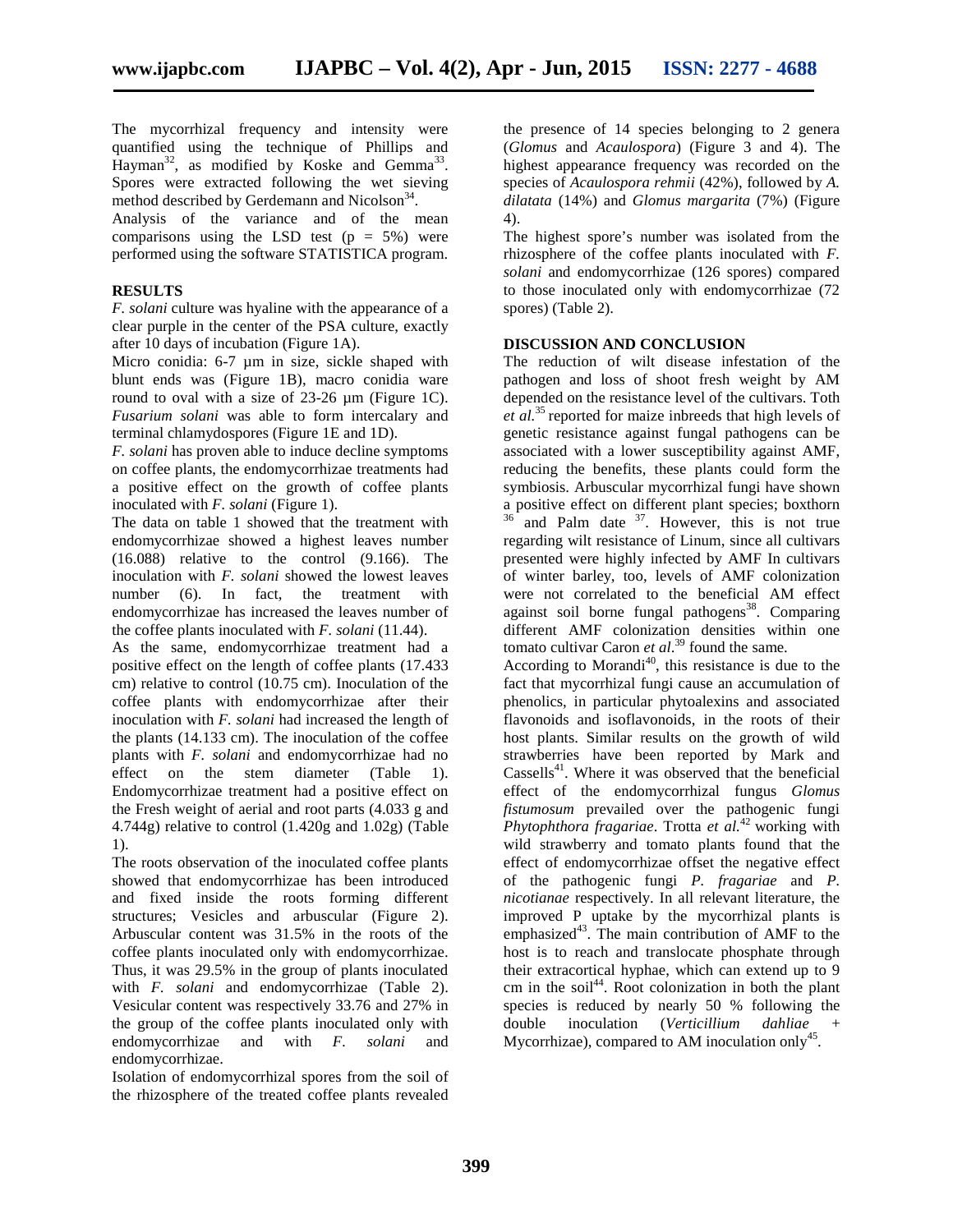The mycorrhizal frequency and intensity were quantified using the technique of Phillips and  $\text{Hayman}^{32}$ , as modified by Koske and Gemma<sup>33</sup>. Spores were extracted following the wet sieving method described by Gerdemann and Nicolson<sup>34</sup>.

Analysis of the variance and of the mean comparisons using the LSD test  $(p = 5\%)$  were performed using the software STATISTICA program.

#### **RESULTS**

*F. solani* culture was hyaline with the appearance of a clear purple in the center of the PSA culture, exactly after 10 days of incubation (Figure 1A).

Micro conidia: 6-7  $\mu$ m in size, sickle shaped with blunt ends was (Figure 1B), macro conidia ware round to oval with a size of 23-26 µm (Figure 1C). *Fusarium solani* was able to form intercalary and terminal chlamydospores (Figure 1E and 1D).

*F. solani* has proven able to induce decline symptoms on coffee plants, the endomycorrhizae treatments had a positive effect on the growth of coffee plants inoculated with *F. solani* (Figure 1).

The data on table 1 showed that the treatment with endomycorrhizae showed a highest leaves number (16.088) relative to the control (9.166). The inoculation with *F. solani* showed the lowest leaves number (6). In fact, the treatment with endomycorrhizae has increased the leaves number of the coffee plants inoculated with *F. solani* (11.44).

As the same, endomycorrhizae treatment had a positive effect on the length of coffee plants (17.433 cm) relative to control (10.75 cm). Inoculation of the coffee plants with endomycorrhizae after their inoculation with *F. solani* had increased the length of the plants (14.133 cm). The inoculation of the coffee plants with *F. solani* and endomycorrhizae had no effect on the stem diameter (Table 1). Endomycorrhizae treatment had a positive effect on the Fresh weight of aerial and root parts (4.033 g and 4.744g) relative to control (1.420g and 1.02g) (Table 1).

The roots observation of the inoculated coffee plants showed that endomycorrhizae has been introduced and fixed inside the roots forming different structures; Vesicles and arbuscular (Figure 2). Arbuscular content was 31.5% in the roots of the coffee plants inoculated only with endomycorrhizae. Thus, it was 29.5% in the group of plants inoculated with *F. solani* and endomycorrhizae (Table 2). Vesicular content was respectively 33.76 and 27% in the group of the coffee plants inoculated only with endomycorrhizae and with *F. solani* and endomycorrhizae.

Isolation of endomycorrhizal spores from the soil of the rhizosphere of the treated coffee plants revealed

the presence of 14 species belonging to 2 genera (*Glomus* and *Acaulospora*) (Figure 3 and 4). The highest appearance frequency was recorded on the species of *Acaulospora rehmii* (42%), followed by *A. dilatata* (14%) and *Glomus margarita* (7%) (Figure 4).

The highest spore's number was isolated from the rhizosphere of the coffee plants inoculated with *F. solani* and endomycorrhizae (126 spores) compared to those inoculated only with endomycorrhizae (72 spores) (Table 2).

#### **DISCUSSION AND CONCLUSION**

The reduction of wilt disease infestation of the pathogen and loss of shoot fresh weight by AM depended on the resistance level of the cultivars. Toth *et al.*<sup>35</sup> reported for maize inbreeds that high levels of genetic resistance against fungal pathogens can be associated with a lower susceptibility against AMF, reducing the benefits, these plants could form the symbiosis. Arbuscular mycorrhizal fungi have shown a positive effect on different plant species; boxthorn  $36$  and Palm date  $37$ . However, this is not true regarding wilt resistance of Linum, since all cultivars presented were highly infected by AMF In cultivars of winter barley, too, levels of AMF colonization were not correlated to the beneficial AM effect against soil borne fungal pathogens<sup>38</sup>. Comparing different AMF colonization densities within one tomato cultivar Caron *et al*.<sup>39</sup> found the same.

According to Morandi<sup>40</sup>, this resistance is due to the fact that mycorrhizal fungi cause an accumulation of phenolics, in particular phytoalexins and associated flavonoids and isoflavonoids, in the roots of their host plants. Similar results on the growth of wild strawberries have been reported by Mark and Cassells<sup>41</sup>. Where it was observed that the beneficial effect of the endomycorrhizal fungus *Glomus fistumosum* prevailed over the pathogenic fungi *Phytophthora fragariae*. Trotta *et al.*<sup>42</sup> working with wild strawberry and tomato plants found that the effect of endomycorrhizae offset the negative effect of the pathogenic fungi *P. fragariae* and *P. nicotianae* respectively. In all relevant literature, the improved P uptake by the mycorrhizal plants is emphasized<sup>43</sup>. The main contribution of AMF to the host is to reach and translocate phosphate through their extracortical hyphae, which can extend up to 9 cm in the soil<sup>44</sup>. Root colonization in both the plant species is reduced by nearly 50 % following the inoculation (*Verticillium dahliae* Mycorrhizae), compared to AM inoculation only<sup>45</sup>.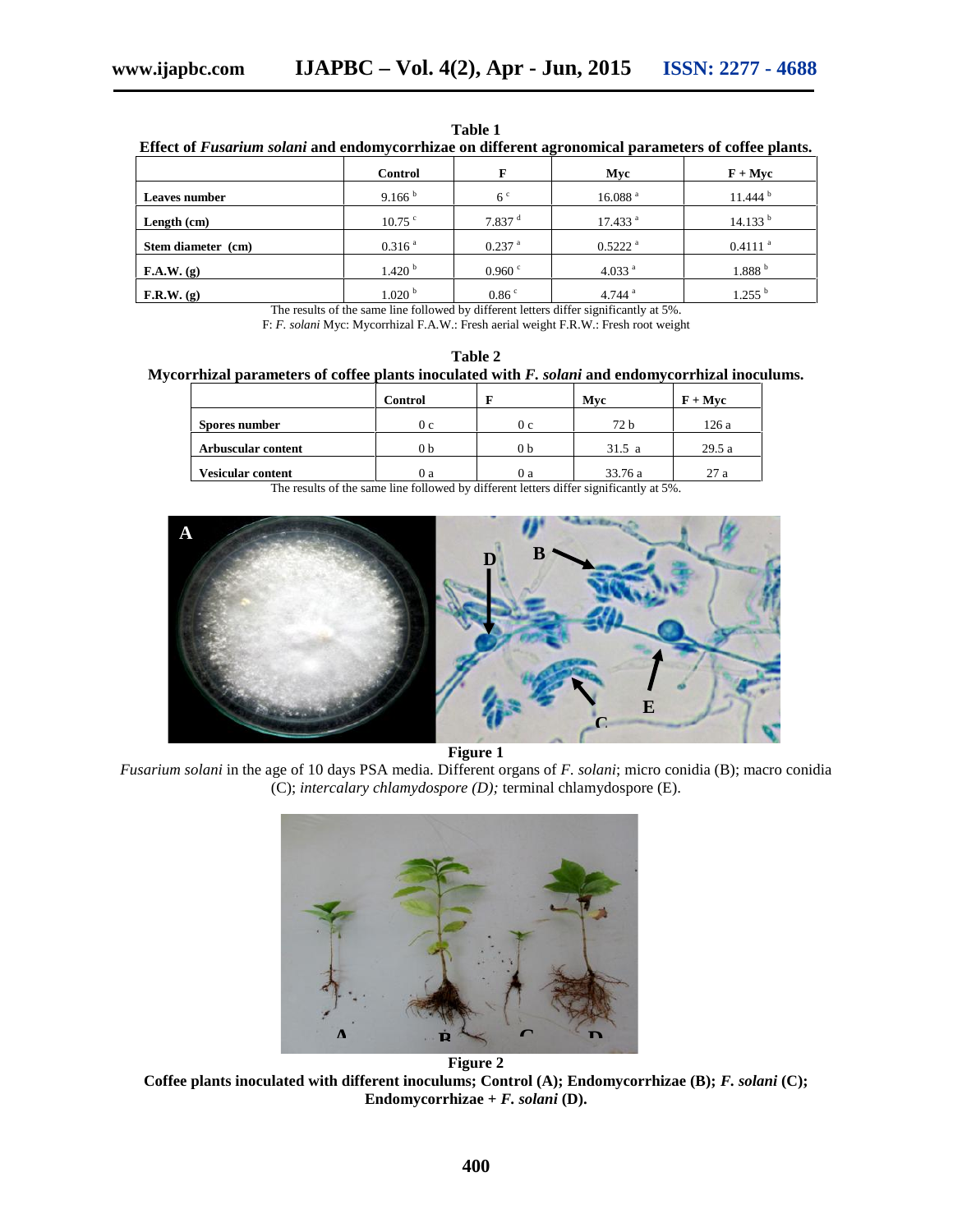| Effect of Fusarium solani and endomycorrhizae on different agronomical parameters of coffee plants. |                    |                      |                       |                       |  |  |  |
|-----------------------------------------------------------------------------------------------------|--------------------|----------------------|-----------------------|-----------------------|--|--|--|
|                                                                                                     | <b>Control</b>     |                      | Mvc                   | $F + Mvc$             |  |  |  |
| Leaves number                                                                                       | 9.166 <sup>b</sup> | 6 <sup>c</sup>       | 16.088 <sup>a</sup>   | 11.444 <sup>b</sup>   |  |  |  |
| Length $(cm)$                                                                                       | $10.75$ $\degree$  | $7.837$ <sup>d</sup> | 17.433 <sup>a</sup>   | 14.133 <sup>b</sup>   |  |  |  |
| Stem diameter (cm)                                                                                  | 0.316 <sup>a</sup> | $0.237$ <sup>a</sup> | $0.5222$ <sup>a</sup> | $0.4111$ <sup>a</sup> |  |  |  |
| F.A.W. (g)                                                                                          | 1.420 <sup>b</sup> | 0.960 °              | 4.033 <sup>a</sup>    | 1.888 <sup>b</sup>    |  |  |  |
| F.R.W. (g)                                                                                          | 1.020 <sup>b</sup> | 0.86 <sup>c</sup>    | 4.744 $a$             | $1.255$ <sup>b</sup>  |  |  |  |

**Table 1**

The results of the same line followed by different letters differ significantly at 5%. F: *F. solani* Myc: Mycorrhizal F.A.W.: Fresh aerial weight F.R.W.: Fresh root weight

**Table 2 Mycorrhizal parameters of coffee plants inoculated with** *F. solani* **and endomycorrhizal inoculums.**

|                          | <b>Control</b> |                | Mvc     | $F + Mvc$ |
|--------------------------|----------------|----------------|---------|-----------|
| Spores number            | 0 <sub>c</sub> | 0 <sub>c</sub> | 72 b    | 126 a     |
| Arbuscular content       | 0 b            | 0 <sub>b</sub> | 31.5a   | 29.5a     |
| <b>Vesicular content</b> | 0a             | O a            | 33.76 a | 27a       |

The results of the same line followed by different letters differ significantly at 5%.



**Figure 1**

*Fusarium solani* in the age of 10 days PSA media. Different organs of *F. solani*; micro conidia (B); macro conidia (C); *intercalary chlamydospore (D);* terminal chlamydospore (E).



**Figure 2 Coffee plants inoculated with different inoculums; Control (A); Endomycorrhizae (B);** *F. solani* **(C); Endomycorrhizae +** *F. solani* **(D).**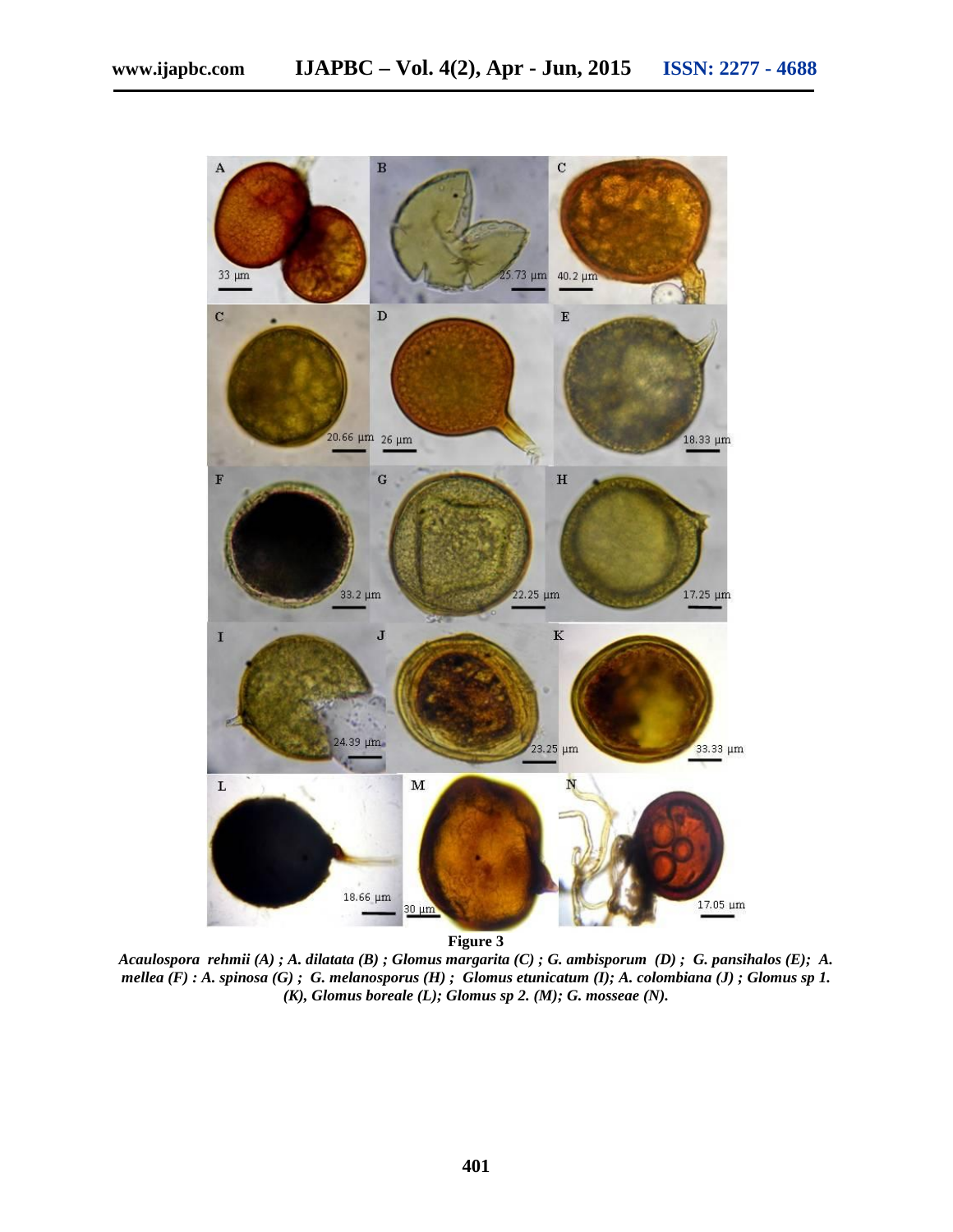

**Figure 3**

*Acaulospora rehmii (A) ; A. dilatata (B) ; Glomus margarita (C) ; G. ambisporum (D) ; G. pansihalos (E); A. mellea (F) : A. spinosa (G) ; G. melanosporus (H) ; Glomus etunicatum (I); A. colombiana (J) ; Glomus sp 1. (K), Glomus boreale (L); Glomus sp 2. (M); G. mosseae (N).*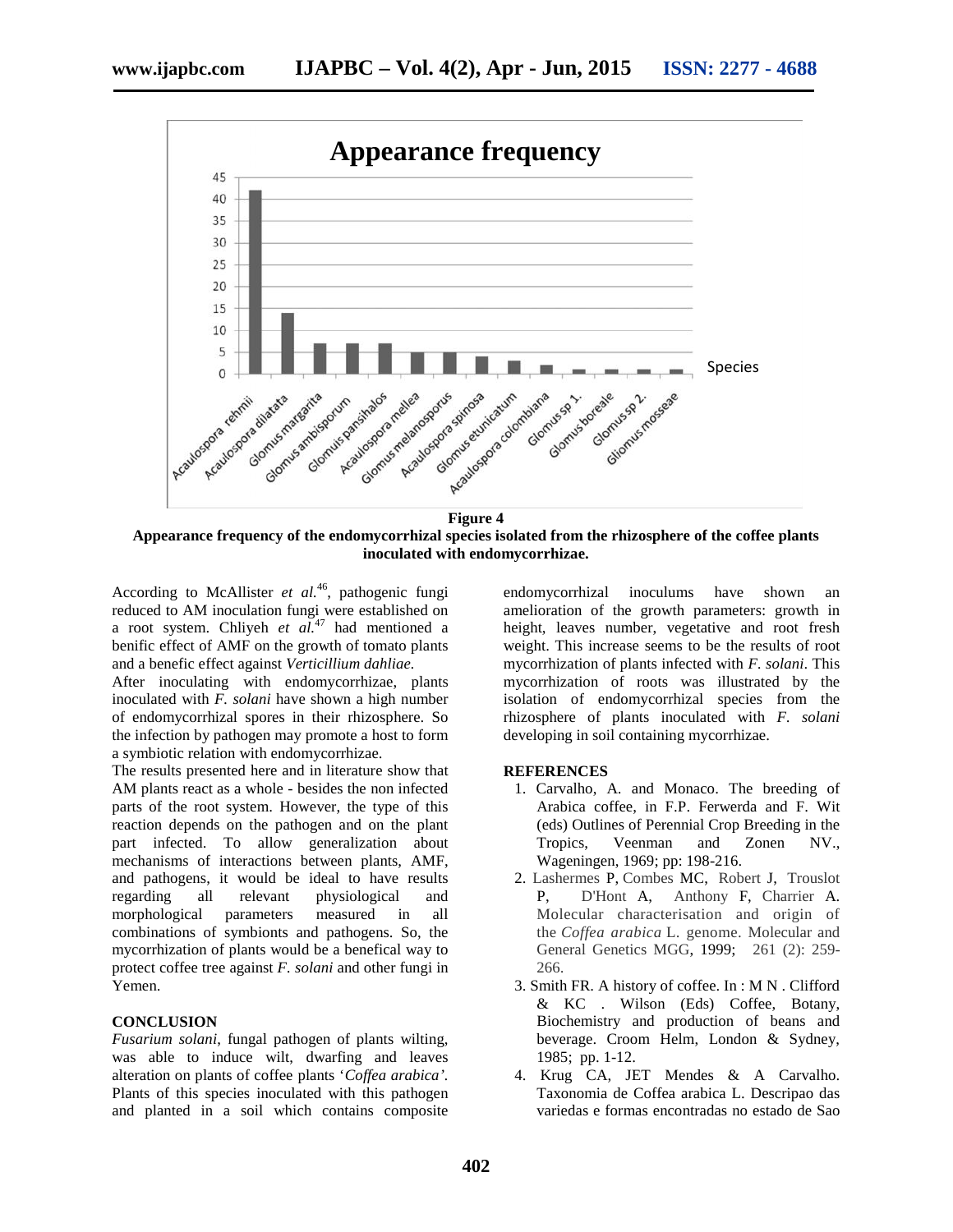

**Appearance frequency of the endomycorrhizal species isolated from the rhizosphere of the coffee plants inoculated with endomycorrhizae.**

According to McAllister *et al.*<sup>46</sup>, pathogenic fungi reduced to AM inoculation fungi were established on a root system. Chliyeh *et al.*<sup>47</sup> had mentioned a benific effect of AMF on the growth of tomato plants and a benefic effect against *Verticillium dahliae.*

After inoculating with endomycorrhizae, plants inoculated with *F. solani* have shown a high number of endomycorrhizal spores in their rhizosphere. So the infection by pathogen may promote a host to form a symbiotic relation with endomycorrhizae.

The results presented here and in literature show that AM plants react as a whole - besides the non infected parts of the root system. However, the type of this reaction depends on the pathogen and on the plant part infected. To allow generalization about mechanisms of interactions between plants, AMF, and pathogens, it would be ideal to have results regarding all relevant physiological and morphological parameters measured in all combinations of symbionts and pathogens. So, the mycorrhization of plants would be a benefical way to protect coffee tree against *F. solani* and other fungi in Yemen.

#### **CONCLUSION**

*Fusarium solani*, fungal pathogen of plants wilting, was able to induce wilt, dwarfing and leaves alteration on plants of coffee plants '*Coffea arabica'.* Plants of this species inoculated with this pathogen and planted in a soil which contains composite endomycorrhizal inoculums have shown an amelioration of the growth parameters: growth in height, leaves number, vegetative and root fresh weight. This increase seems to be the results of root mycorrhization of plants infected with *F. solani*. This mycorrhization of roots was illustrated by the isolation of endomycorrhizal species from the rhizosphere of plants inoculated with *F. solani* developing in soil containing mycorrhizae.

#### **REFERENCES**

- 1. Carvalho, A. and Monaco. The breeding of Arabica coffee, in F.P. Ferwerda and F. Wit (eds) Outlines of Perennial Crop Breeding in the Tropics, Veenman and Zonen NV., Wageningen, 1969; pp: 198-216.
- 2. Lashermes P, Combes MC, Robert J, Trouslot P, D'Hont A, Anthony F, Charrier A. Molecular characterisation and origin of the *Coffea arabica* L. genome. Molecular and General Genetics MGG, 1999; 261 (2): 259- 266.
- 3. Smith FR. A history of coffee. In : M N . Clifford & KC . Wilson (Eds) Coffee, Botany, Biochemistry and production of beans and beverage. Croom Helm, London & Sydney, 1985; pp. 1-12.
- 4. Krug CA, JET Mendes & A Carvalho. Taxonomia de Coffea arabica L. Descripao das variedas e formas encontradas no estado de Sao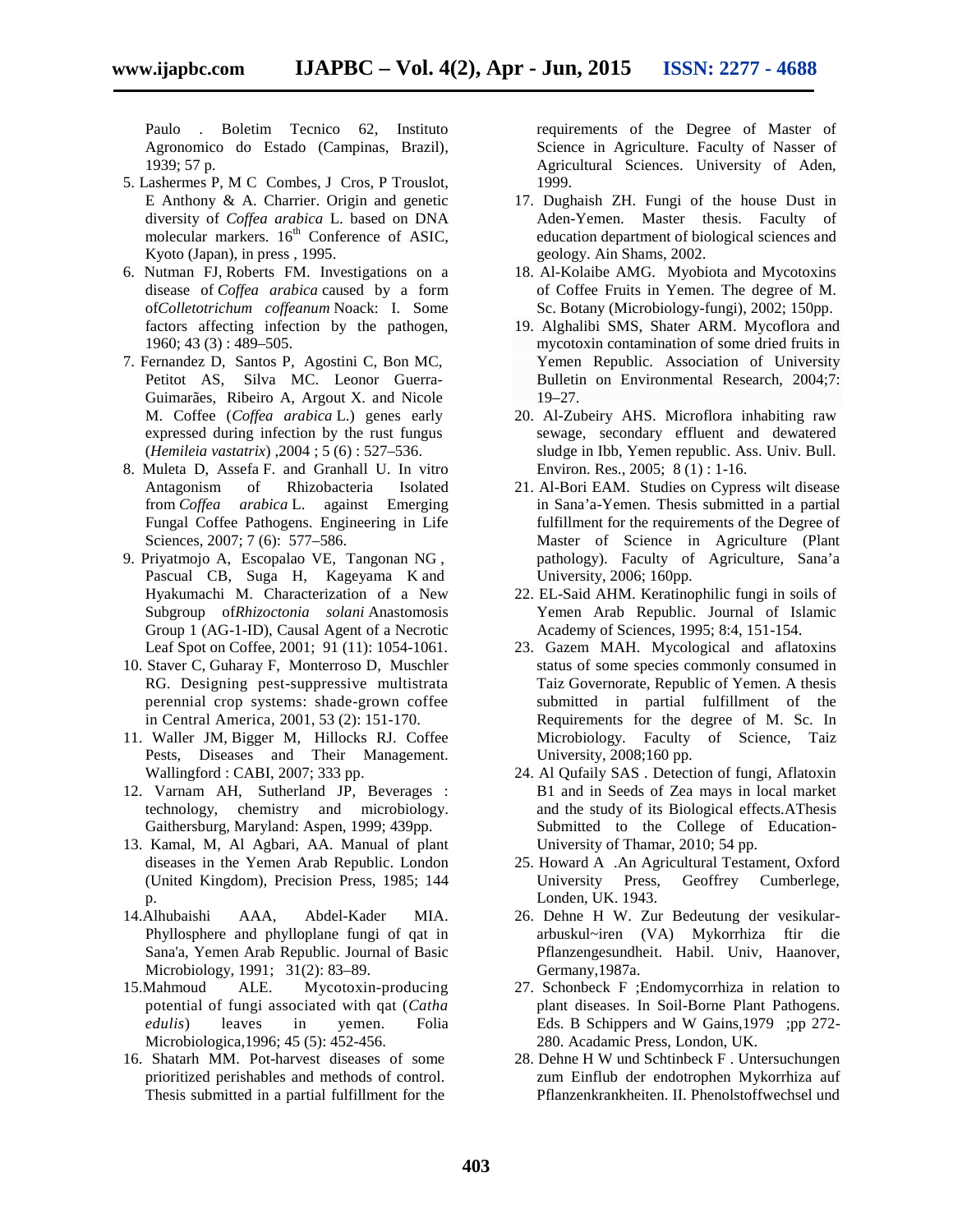Paulo . Boletim Tecnico 62, Instituto Agronomico do Estado (Campinas, Brazil), 1939; 57 p.

- 5. Lashermes P, M C Combes, J Cros, P Trouslot, E Anthony & A. Charrier. Origin and genetic diversity of *Coffea arabica* L. based on DNA molecular markers. 16<sup>th</sup> Conference of ASIC, Kyoto (Japan), in press , 1995.
- 6. Nutman FJ,Roberts FM. Investigations on a disease of *Coffea arabica* caused by a form of*Colletotrichum coffeanum* Noack: I. Some factors affecting infection by the pathogen, 1960; 43 (3) : 489–505.
- 7. Fernandez D, Santos P, Agostini C, Bon MC, Petitot AS, Silva MC. Leonor Guerra- Guimarães, Ribeiro A, Argout X. and Nicole M. Coffee (*Coffea arabica* L.) genes early expressed during infection by the rust fungus (*Hemileia vastatrix*) ,2004 ; 5 (6) : 527–536.
- 8. Muleta D, Assefa F. and Granhall U. In vitro Antagonism of Rhizobacteria Isolated from *Coffea arabica* L. against Emerging Fungal Coffee Pathogens. Engineering in Life Sciences, 2007; 7 (6): 577-586.
- 9. Priyatmojo A, Escopalao VE, Tangonan NG , Pascual CB, Suga H, Kageyama K and Hyakumachi M. Characterization of a New Subgroup of*Rhizoctonia solani* Anastomosis Group 1 (AG-1-ID), Causal Agent of a Necrotic Leaf Spot on Coffee, 2001; 91 (11): 1054-1061.
- 10. Staver C, Guharay F, Monterroso D, Muschler RG. Designing pest-suppressive multistrata perennial crop systems: shade-grown coffee in Central America, 2001, 53 (2):151-170.
- 11. Waller JM, Bigger M, Hillocks RJ. Coffee Pests, Diseases and Their Management. Wallingford : CABI, 2007; 333 pp.
- 12. Varnam AH, Sutherland JP, Beverages : technology, chemistry and microbiology. Gaithersburg, Maryland: Aspen, 1999; 439pp.
- 13. Kamal, M, Al Agbari, AA. Manual of plant diseases in the Yemen Arab Republic. London (United Kingdom), Precision Press, 1985; 144 p.
- 14.Alhubaishi AAA, Abdel-Kader MIA. Phyllosphere and phylloplane fungi of qat in Sana'a, Yemen Arab Republic. Journal of Basic Microbiology, 1991; 31(2): 83–89.
- 15.Mahmoud ALE. Mycotoxin-producing potential of fungi associated with qat (*Catha edulis*) leaves in yemen. Folia Microbiologica,1996; 45 (5): 452-456.
- 16. Shatarh MM. Pot-harvest diseases of some prioritized perishables and methods of control. Thesis submitted in a partial fulfillment for the

requirements of the Degree of Master of Science in Agriculture. Faculty of Nasser of Agricultural Sciences. University of Aden, 1999.

- 17. Dughaish ZH. Fungi of the house Dust in Aden-Yemen. Master thesis. Faculty of education department of biological sciences and geology. Ain Shams, 2002.
- 18. Al-Kolaibe AMG. Myobiota and Mycotoxins of Coffee Fruits in Yemen. The degree of M. Sc. Botany (Microbiology-fungi), 2002; 150pp.
- 19. Alghalibi SMS, Shater ARM. Mycoflora and mycotoxin contamination of some dried fruits in Yemen Republic. Association of University Bulletin on Environmental Research, 2004;7: 19–27.
- 20. Al-Zubeiry AHS. Microflora inhabiting raw sewage, secondary effluent and dewatered sludge in Ibb, Yemen republic. Ass. Univ. Bull. Environ. Res., 2005; 8 (1) : 1-16.
- 21. Al-Bori EAM. Studies on Cypress wilt disease in Sana'a-Yemen. Thesis submitted in a partial fulfillment for the requirements of the Degree of Master of Science in Agriculture (Plant pathology). Faculty of Agriculture, Sana'a University, 2006; 160pp.
- 22. EL-Said AHM. Keratinophilic fungi in soils of Yemen Arab Republic. Journal of Islamic Academy of Sciences, 1995; 8:4, 151-154.
- 23. Gazem MAH. Mycological and aflatoxins status of some species commonly consumed in Taiz Governorate, Republic of Yemen. A thesis submitted in partial fulfillment of the Requirements for the degree of M. Sc. In Microbiology. Faculty of Science, Taiz University, 2008;160 pp.
- 24. Al Qufaily SAS . Detection of fungi, Aflatoxin B1 and in Seeds of Zea mays in local market and the study of its Biological effects.AThesis Submitted to the College of Education- University of Thamar, 2010; 54 pp.
- 25. Howard A .An Agricultural Testament, Oxford University Press, Geoffrey Cumberlege, Londen, UK. 1943.
- 26. Dehne H W. Zur Bedeutung der vesikular arbuskul~iren (VA) Mykorrhiza ftir die Pflanzengesundheit. Habil. Univ, Haanover, Germany,1987a.
- 27. Schonbeck F ;Endomycorrhiza in relation to plant diseases. In Soil-Borne Plant Pathogens. Eds. B Schippers and W Gains, 1979 ;pp 272-280. Acadamic Press, London, UK.
- 28. Dehne H W und Schtinbeck F . Untersuchungen zum Einflub der endotrophen Mykorrhiza auf Pflanzenkrankheiten. II. Phenolstoffwechsel und